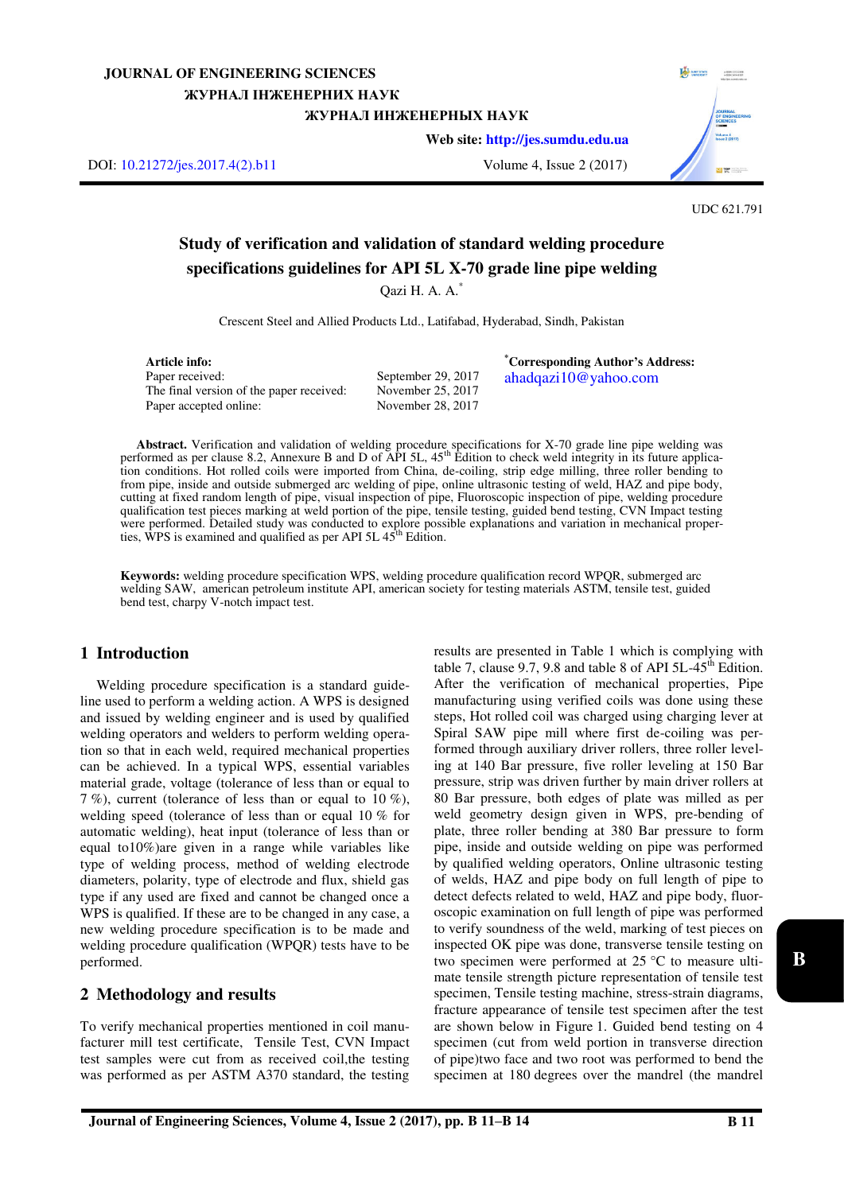## **JOURNAL OF ENGINEERING SCIENCES**  ЖУРНАЛ ІНЖЕНЕРНИХ НАУК ЖУРНАЛ ИНЖЕНЕРНЫХ НАУК

**Web site: [http://jes.sumdu.edu.ua](http://jes.sumdu.edu.ua/)**

DOI: [10.21272/jes.2017.4\(2\).b11](https://doi.org/10.21272/jes.2017.4(2).b11) Volume 4, Issue 2 (2017)



UDC 621.791

# **Study of verification and validation of standard welding procedure specifications guidelines for API 5L X-70 grade line pipe welding**

Qazi H. A. A.\*

Crescent Steel and Allied Products Ltd., Latifabad, Hyderabad, Sindh, Pakistan

**Article info:**  Paper received: The final version of the paper received: Paper accepted online:

September 29, 2017 November 25, 2017 November 28, 2017

**\*Corresponding Author's Address:**  ahadqazi10@yahoo.com

**Abstract.** Verification and validation of welding procedure specifications for X-70 grade line pipe welding was performed as per clause 8.2, Annexure B and D of  $\overrightarrow{AP}$  5L, 45<sup>th</sup> Edition to check weld integrity in its future application conditions. Hot rolled coils were imported from China, de-coiling, strip edge milling, three roller bending to from pipe, inside and outside submerged arc welding of pipe, online ultrasonic testing of weld, HAZ and pipe body, cutting at fixed random length of pipe, visual inspection of pipe, Fluoroscopic inspection of pipe, welding procedure qualification test pieces marking at weld portion of the pipe, tensile testing, guided bend testing, CVN Impact testing were performed. Detailed study was conducted to explore possible explanations and variation in mechanical proper-<br>ties, WPS is examined and qualified as per API 5L 45<sup>th</sup> Edition.

**Keywords:** welding procedure specification WPS, welding procedure qualification record WPQR, submerged arc welding SAW, american petroleum institute API, american society for testing materials ASTM, tensile test, guided bend test, charpy V-notch impact test.

## **1 Introduction**

Welding procedure specification is a standard guideline used to perform a welding action. A WPS is designed and issued by welding engineer and is used by qualified welding operators and welders to perform welding operation so that in each weld, required mechanical properties can be achieved. In a typical WPS, essential variables material grade, voltage (tolerance of less than or equal to 7 %), current (tolerance of less than or equal to 10 %), welding speed (tolerance of less than or equal 10 % for automatic welding), heat input (tolerance of less than or equal to10%)are given in a range while variables like type of welding process, method of welding electrode diameters, polarity, type of electrode and flux, shield gas type if any used are fixed and cannot be changed once a WPS is qualified. If these are to be changed in any case, a new welding procedure specification is to be made and welding procedure qualification (WPQR) tests have to be performed.

## **2 Methodology and results**

To verify mechanical properties mentioned in coil manufacturer mill test certificate, Tensile Test, CVN Impact test samples were cut from as received coil,the testing was performed as per ASTM A370 standard, the testing results are presented in Table 1 which is complying with table 7, clause 9.7, 9.8 and table 8 of API  $5L-45^{\text{th}}$  Edition. After the verification of mechanical properties, Pipe manufacturing using verified coils was done using these steps, Hot rolled coil was charged using charging lever at Spiral SAW pipe mill where first de-coiling was performed through auxiliary driver rollers, three roller leveling at 140 Bar pressure, five roller leveling at 150 Bar pressure, strip was driven further by main driver rollers at 80 Bar pressure, both edges of plate was milled as per weld geometry design given in WPS, pre-bending of plate, three roller bending at 380 Bar pressure to form pipe, inside and outside welding on pipe was performed by qualified welding operators, Online ultrasonic testing of welds, HAZ and pipe body on full length of pipe to detect defects related to weld, HAZ and pipe body, fluoroscopic examination on full length of pipe was performed to verify soundness of the weld, marking of test pieces on inspected OK pipe was done, transverse tensile testing on two specimen were performed at 25 °C to measure ultimate tensile strength picture representation of tensile test specimen, Tensile testing machine, stress-strain diagrams, fracture appearance of tensile test specimen after the test are shown below in Figure 1. Guided bend testing on 4 specimen (cut from weld portion in transverse direction of pipe)two face and two root was performed to bend the specimen at 180 degrees over the mandrel (the mandrel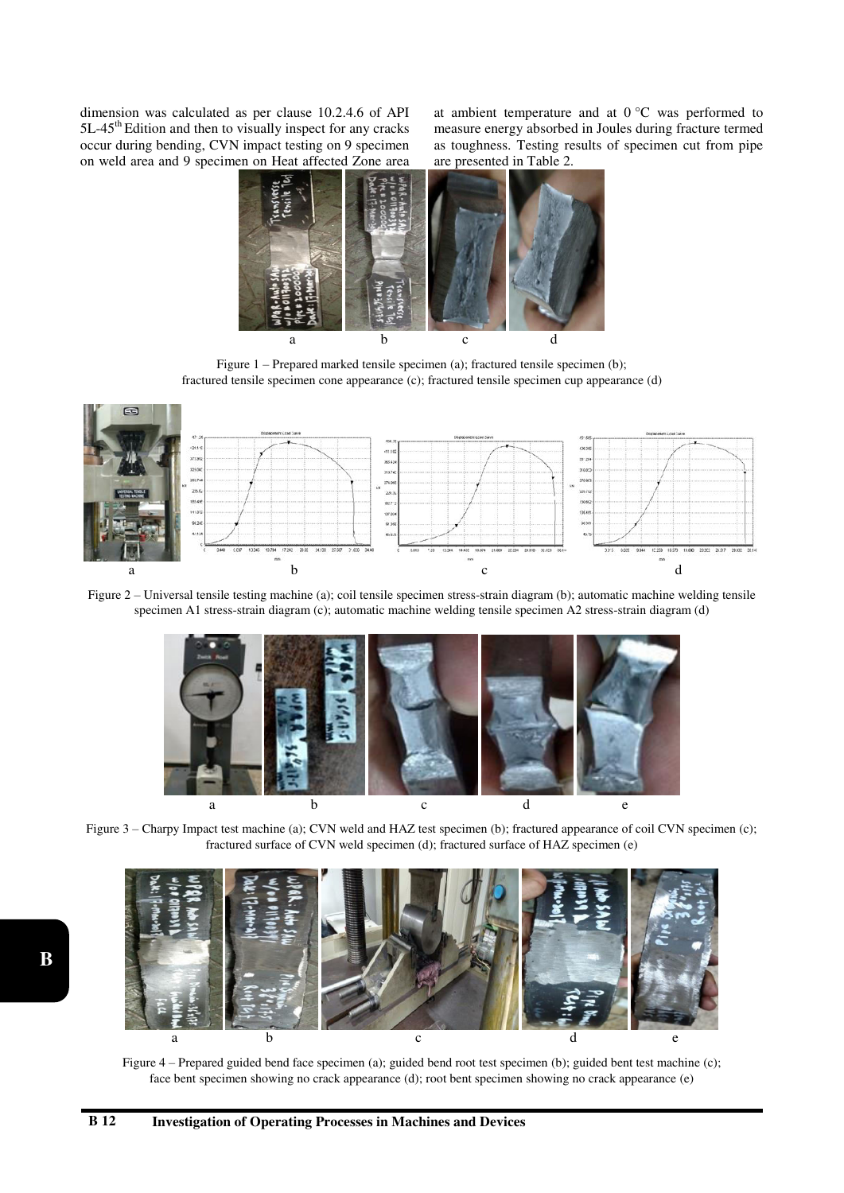dimension was calculated as per clause 10.2.4.6 of API 5L-45<sup>th</sup> Edition and then to visually inspect for any cracks occur during bending, CVN impact testing on 9 specimen on weld area and 9 specimen on Heat affected Zone area at ambient temperature and at  $0^{\circ}$ C was performed to measure energy absorbed in Joules during fracture termed as toughness. Testing results of specimen cut from pipe are presented in Table 2.



Figure 1 – Prepared marked tensile specimen (a); fractured tensile specimen (b); fractured tensile specimen cone appearance (c); fractured tensile specimen cup appearance (d)



Figure 2 – Universal tensile testing machine (a); coil tensile specimen stress-strain diagram (b); automatic machine welding tensile specimen A1 stress-strain diagram (c); automatic machine welding tensile specimen A2 stress-strain diagram (d)



Figure 3 – Charpy Impact test machine (a); CVN weld and HAZ test specimen (b); fractured appearance of coil CVN specimen (c); fractured surface of CVN weld specimen (d); fractured surface of HAZ specimen (e)



Figure 4 – Prepared guided bend face specimen (a); guided bend root test specimen (b); guided bent test machine (c); face bent specimen showing no crack appearance (d); root bent specimen showing no crack appearance (e)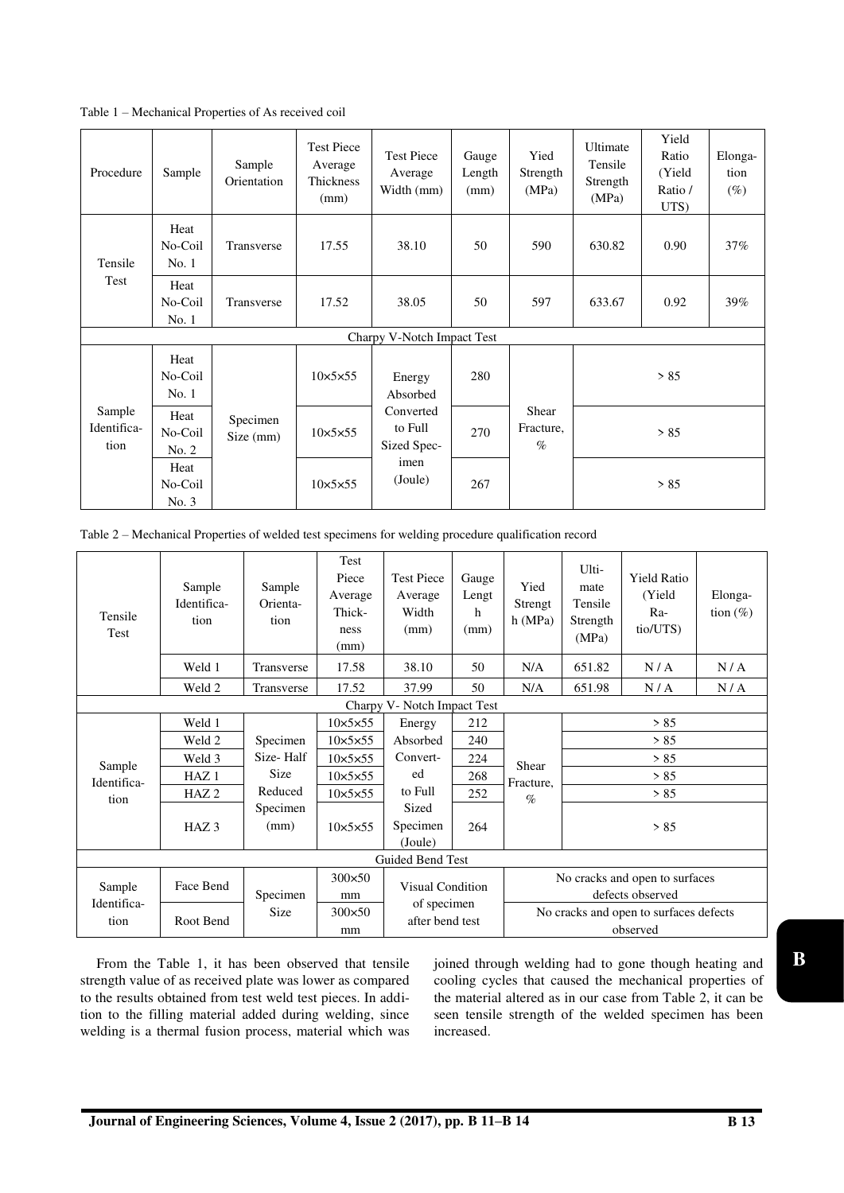Table 1 – Mechanical Properties of As received coil

| Procedure                     | Sample                   | Sample<br>Orientation | <b>Test Piece</b><br>Average<br>Thickness<br>(mm) | <b>Test Piece</b><br>Average<br>Width (mm) | Gauge<br>Length<br>(mm) | Yied<br>Strength<br>(MPa)  | Ultimate<br>Tensile<br>Strength<br>(MPa) | Yield<br>Ratio<br>(Yield<br>Ratio /<br>UTS) | Elonga-<br>tion<br>$(\%)$ |  |  |
|-------------------------------|--------------------------|-----------------------|---------------------------------------------------|--------------------------------------------|-------------------------|----------------------------|------------------------------------------|---------------------------------------------|---------------------------|--|--|
| Tensile<br>Test               | Heat<br>No-Coil<br>No.1  | Transverse            | 17.55                                             | 38.10                                      | 50                      | 590                        | 630.82                                   | 0.90                                        | 37%                       |  |  |
|                               | Heat<br>No-Coil<br>No. 1 | Transverse            | 17.52                                             | 38.05                                      | 50                      | 597                        | 633.67                                   | 0.92                                        | 39%                       |  |  |
| Charpy V-Notch Impact Test    |                          |                       |                                                   |                                            |                         |                            |                                          |                                             |                           |  |  |
| Sample<br>Identifica-<br>tion | Heat<br>No-Coil<br>No.1  |                       | $10\times5\times55$                               | Energy<br>Absorbed                         | 280                     |                            | > 85                                     |                                             |                           |  |  |
|                               | Heat<br>No-Coil<br>No. 2 | Specimen<br>Size (mm) | $10\times5\times55$                               | Converted<br>to Full<br>Sized Spec-        | 270                     | Shear<br>Fracture,<br>$\%$ | > 85                                     |                                             |                           |  |  |
|                               | Heat<br>No-Coil<br>No. 3 |                       | $10\times5\times55$                               | imen<br>(Joule)                            | 267                     |                            | > 85                                     |                                             |                           |  |  |

Table 2 – Mechanical Properties of welded test specimens for welding procedure qualification record

| Tensile<br>Test               | Sample<br>Identifica-<br>tion | Sample<br>Orienta-<br>tion | Test<br>Piece<br>Average<br>Thick-<br>ness<br>(mm) | <b>Test Piece</b><br>Average<br>Width<br>(mm) | Gauge<br>Lengt<br>h<br>(mm) | Yied<br>Strengt<br>h(MPa)                          | Ulti-<br>mate<br>Tensile<br>Strength<br>(MPa) | <b>Yield Ratio</b><br>(Yield<br>Ra-<br>tio/UTS) | Elonga-<br>tion $(\%)$ |  |
|-------------------------------|-------------------------------|----------------------------|----------------------------------------------------|-----------------------------------------------|-----------------------------|----------------------------------------------------|-----------------------------------------------|-------------------------------------------------|------------------------|--|
|                               | Weld 1                        | Transverse                 | 17.58                                              | 38.10                                         | 50                          | N/A                                                | 651.82                                        | N/A                                             | N/A                    |  |
|                               | Weld 2                        | Transverse                 | 17.52                                              | 37.99                                         | 50                          | N/A                                                | 651.98                                        | N/A                                             | N/A                    |  |
| Charpy V - Notch Impact Test  |                               |                            |                                                    |                                               |                             |                                                    |                                               |                                                 |                        |  |
| Sample<br>Identifica-<br>tion | Weld 1                        |                            | $10\times5\times55$                                | Energy                                        | 212                         | Shear<br>Fracture,<br>$\%$                         | > 85                                          |                                                 |                        |  |
|                               | Weld 2                        | Specimen                   | $10\times5\times55$                                | Absorbed                                      | 240                         |                                                    | > 85                                          |                                                 |                        |  |
|                               | Weld 3                        | Size-Half                  | $10\times5\times55$                                | Convert-                                      | 224                         |                                                    | > 85                                          |                                                 |                        |  |
|                               | HAZ <sub>1</sub>              | Size                       | $10\times5\times55$                                | ed                                            | 268                         |                                                    | > 85                                          |                                                 |                        |  |
|                               | HAZ <sub>2</sub>              | Reduced                    | $10\times5\times55$                                | to Full                                       | 252                         |                                                    | > 85                                          |                                                 |                        |  |
|                               | HAZ <sub>3</sub>              | Specimen<br>(mm)           | $10\times5\times55$                                | Sized<br>Specimen<br>(Joule)                  | 264                         |                                                    | > 85                                          |                                                 |                        |  |
| Guided Bend Test              |                               |                            |                                                    |                                               |                             |                                                    |                                               |                                                 |                        |  |
| Sample<br>Identifica-<br>tion | Face Bend                     | Specimen                   |                                                    | Visual Condition                              |                             | No cracks and open to surfaces<br>defects observed |                                               |                                                 |                        |  |
|                               | Root Bend                     | <b>Size</b>                | $300\times50$<br>mm                                | of specimen<br>after bend test                |                             | No cracks and open to surfaces defects<br>observed |                                               |                                                 |                        |  |

From the Table 1, it has been observed that tensile strength value of as received plate was lower as compared to the results obtained from test weld test pieces. In addition to the filling material added during welding, since welding is a thermal fusion process, material which was joined through welding had to gone though heating and cooling cycles that caused the mechanical properties of the material altered as in our case from Table 2, it can be seen tensile strength of the welded specimen has been increased.